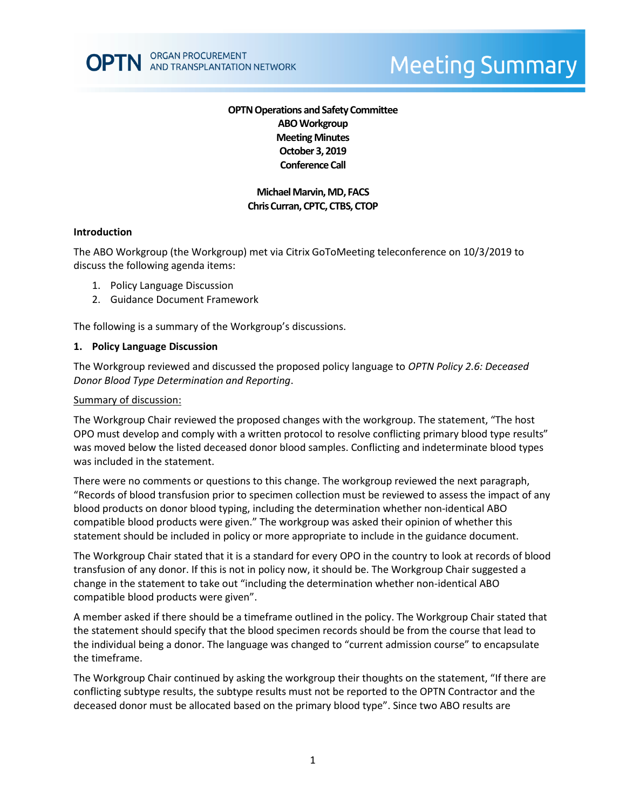# **Meeting Summary**

# **OPTN Operations and Safety Committee ABO Workgroup Meeting Minutes October 3, 2019 Conference Call**

# **Michael Marvin, MD, FACS Chris Curran, CPTC, CTBS, CTOP**

#### **Introduction**

The ABO Workgroup (the Workgroup) met via Citrix GoToMeeting teleconference on 10/3/2019 to discuss the following agenda items:

- 1. Policy Language Discussion
- 2. Guidance Document Framework

The following is a summary of the Workgroup's discussions.

#### **1. Policy Language Discussion**

The Workgroup reviewed and discussed the proposed policy language to *OPTN Policy 2.6: Deceased Donor Blood Type Determination and Reporting*.

#### Summary of discussion:

The Workgroup Chair reviewed the proposed changes with the workgroup. The statement, "The host OPO must develop and comply with a written protocol to resolve conflicting primary blood type results" was moved below the listed deceased donor blood samples. Conflicting and indeterminate blood types was included in the statement.

There were no comments or questions to this change. The workgroup reviewed the next paragraph, "Records of blood transfusion prior to specimen collection must be reviewed to assess the impact of any blood products on donor blood typing, including the determination whether non-identical ABO compatible blood products were given." The workgroup was asked their opinion of whether this statement should be included in policy or more appropriate to include in the guidance document.

The Workgroup Chair stated that it is a standard for every OPO in the country to look at records of blood transfusion of any donor. If this is not in policy now, it should be. The Workgroup Chair suggested a change in the statement to take out "including the determination whether non-identical ABO compatible blood products were given".

A member asked if there should be a timeframe outlined in the policy. The Workgroup Chair stated that the statement should specify that the blood specimen records should be from the course that lead to the individual being a donor. The language was changed to "current admission course" to encapsulate the timeframe.

The Workgroup Chair continued by asking the workgroup their thoughts on the statement, "If there are conflicting subtype results, the subtype results must not be reported to the OPTN Contractor and the deceased donor must be allocated based on the primary blood type". Since two ABO results are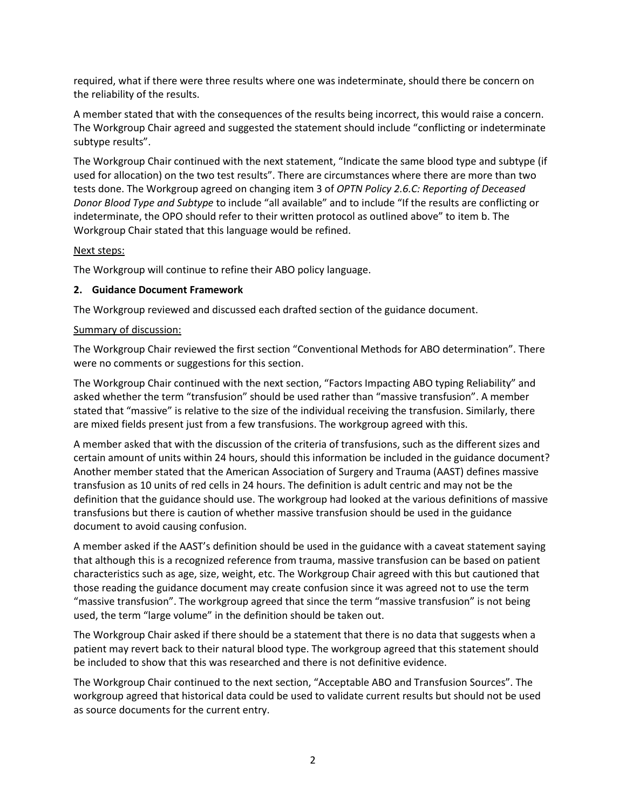required, what if there were three results where one was indeterminate, should there be concern on the reliability of the results.

A member stated that with the consequences of the results being incorrect, this would raise a concern. The Workgroup Chair agreed and suggested the statement should include "conflicting or indeterminate subtype results".

The Workgroup Chair continued with the next statement, "Indicate the same blood type and subtype (if used for allocation) on the two test results". There are circumstances where there are more than two tests done. The Workgroup agreed on changing item 3 of *OPTN Policy 2.6.C: Reporting of Deceased Donor Blood Type and Subtype* to include "all available" and to include "If the results are conflicting or indeterminate, the OPO should refer to their written protocol as outlined above" to item b. The Workgroup Chair stated that this language would be refined.

# Next steps:

The Workgroup will continue to refine their ABO policy language.

# **2. Guidance Document Framework**

The Workgroup reviewed and discussed each drafted section of the guidance document.

# Summary of discussion:

The Workgroup Chair reviewed the first section "Conventional Methods for ABO determination". There were no comments or suggestions for this section.

The Workgroup Chair continued with the next section, "Factors Impacting ABO typing Reliability" and asked whether the term "transfusion" should be used rather than "massive transfusion". A member stated that "massive" is relative to the size of the individual receiving the transfusion. Similarly, there are mixed fields present just from a few transfusions. The workgroup agreed with this.

A member asked that with the discussion of the criteria of transfusions, such as the different sizes and certain amount of units within 24 hours, should this information be included in the guidance document? Another member stated that the American Association of Surgery and Trauma (AAST) defines massive transfusion as 10 units of red cells in 24 hours. The definition is adult centric and may not be the definition that the guidance should use. The workgroup had looked at the various definitions of massive transfusions but there is caution of whether massive transfusion should be used in the guidance document to avoid causing confusion.

A member asked if the AAST's definition should be used in the guidance with a caveat statement saying that although this is a recognized reference from trauma, massive transfusion can be based on patient characteristics such as age, size, weight, etc. The Workgroup Chair agreed with this but cautioned that those reading the guidance document may create confusion since it was agreed not to use the term "massive transfusion". The workgroup agreed that since the term "massive transfusion" is not being used, the term "large volume" in the definition should be taken out.

The Workgroup Chair asked if there should be a statement that there is no data that suggests when a patient may revert back to their natural blood type. The workgroup agreed that this statement should be included to show that this was researched and there is not definitive evidence.

The Workgroup Chair continued to the next section, "Acceptable ABO and Transfusion Sources". The workgroup agreed that historical data could be used to validate current results but should not be used as source documents for the current entry.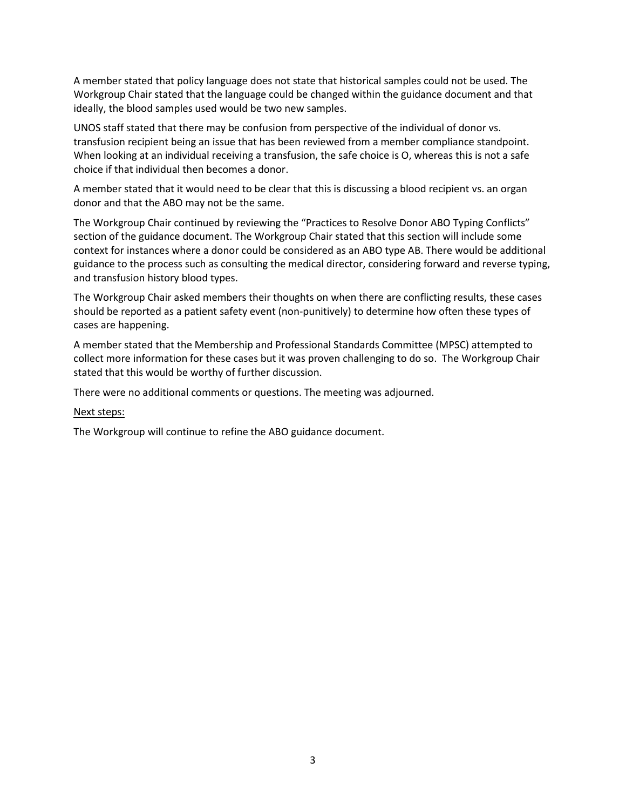A member stated that policy language does not state that historical samples could not be used. The Workgroup Chair stated that the language could be changed within the guidance document and that ideally, the blood samples used would be two new samples.

UNOS staff stated that there may be confusion from perspective of the individual of donor vs. transfusion recipient being an issue that has been reviewed from a member compliance standpoint. When looking at an individual receiving a transfusion, the safe choice is O, whereas this is not a safe choice if that individual then becomes a donor.

A member stated that it would need to be clear that this is discussing a blood recipient vs. an organ donor and that the ABO may not be the same.

The Workgroup Chair continued by reviewing the "Practices to Resolve Donor ABO Typing Conflicts" section of the guidance document. The Workgroup Chair stated that this section will include some context for instances where a donor could be considered as an ABO type AB. There would be additional guidance to the process such as consulting the medical director, considering forward and reverse typing, and transfusion history blood types.

The Workgroup Chair asked members their thoughts on when there are conflicting results, these cases should be reported as a patient safety event (non-punitively) to determine how often these types of cases are happening.

A member stated that the Membership and Professional Standards Committee (MPSC) attempted to collect more information for these cases but it was proven challenging to do so. The Workgroup Chair stated that this would be worthy of further discussion.

There were no additional comments or questions. The meeting was adjourned.

#### Next steps:

The Workgroup will continue to refine the ABO guidance document.